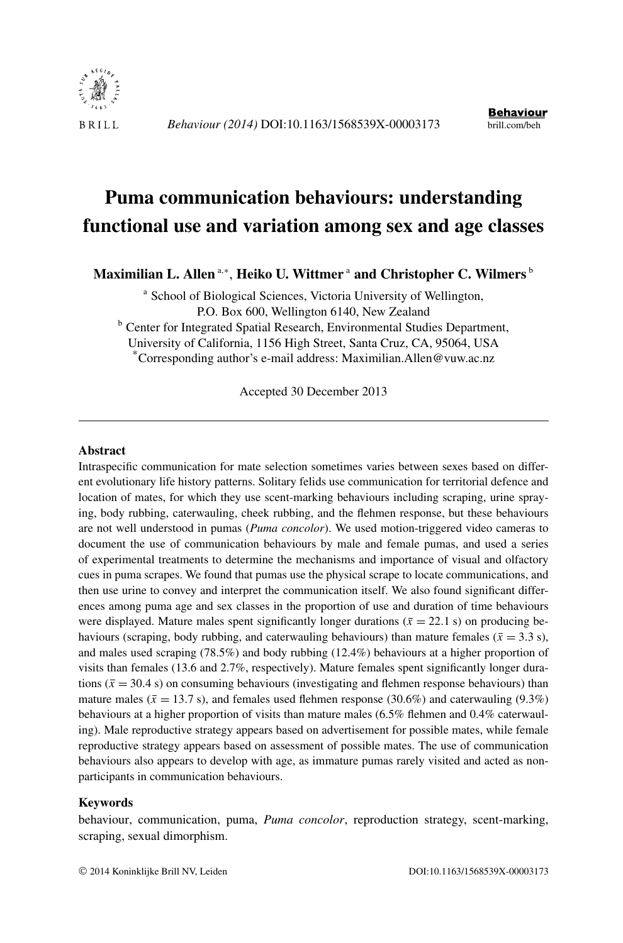

# **Puma communication behaviours: understanding functional use and variation among sex and age classes**

Maximilian L. Allen <sup>a,∗</sup>, Heiko U. Wittmer <sup>a</sup> and Christopher C. Wilmers <sup>b</sup>

<sup>a</sup> School of Biological Sciences, Victoria University of Wellington, P.O. Box 600, Wellington 6140, New Zealand

**b** Center for Integrated Spatial Research, Environmental Studies Department,

University of California, 1156 High Street, Santa Cruz, CA, 95064, USA

\*Corresponding author's e-mail address: Maximilian.Allen@vuw.ac.nz

Accepted 30 December 2013

#### **Abstract**

Intraspecific communication for mate selection sometimes varies between sexes based on different evolutionary life history patterns. Solitary felids use communication for territorial defence and location of mates, for which they use scent-marking behaviours including scraping, urine spraying, body rubbing, caterwauling, cheek rubbing, and the flehmen response, but these behaviours are not well understood in pumas (*Puma concolor*). We used motion-triggered video cameras to document the use of communication behaviours by male and female pumas, and used a series of experimental treatments to determine the mechanisms and importance of visual and olfactory cues in puma scrapes. We found that pumas use the physical scrape to locate communications, and then use urine to convey and interpret the communication itself. We also found significant differences among puma age and sex classes in the proportion of use and duration of time behaviours were displayed. Mature males spent significantly longer durations ( $\bar{x} = 22.1$  s) on producing behaviours (scraping, body rubbing, and caterwauling behaviours) than mature females ( $\bar{x} = 3.3$  s), and males used scraping (78.5%) and body rubbing (12.4%) behaviours at a higher proportion of visits than females (13.6 and 2.7%, respectively). Mature females spent significantly longer durations ( $\bar{x}$  = 30.4 s) on consuming behaviours (investigating and flehmen response behaviours) than mature males ( $\bar{x} = 13.7$  s), and females used flehmen response (30.6%) and caterwauling (9.3%) behaviours at a higher proportion of visits than mature males (6.5% flehmen and 0.4% caterwauling). Male reproductive strategy appears based on advertisement for possible mates, while female reproductive strategy appears based on assessment of possible mates. The use of communication behaviours also appears to develop with age, as immature pumas rarely visited and acted as nonparticipants in communication behaviours.

#### **Keywords**

behaviour, communication, puma, *Puma concolor*, reproduction strategy, scent-marking, scraping, sexual dimorphism.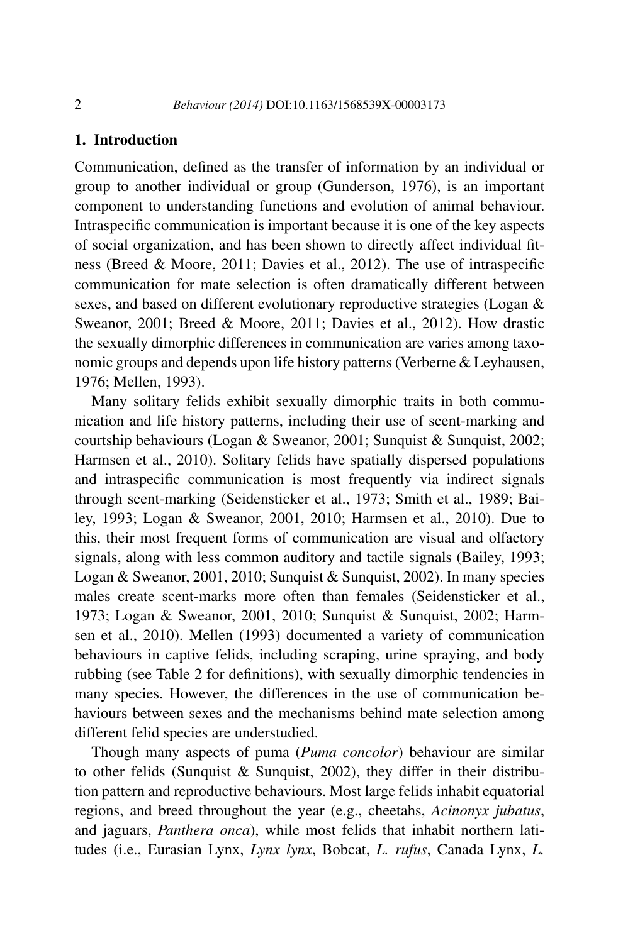# **1. Introduction**

Communication, defined as the transfer of information by an individual or group to another individual or group (Gunderson, 1976), is an important component to understanding functions and evolution of animal behaviour. Intraspecific communication is important because it is one of the key aspects of social organization, and has been shown to directly affect individual fitness (Breed & Moore, 2011; Davies et al., 2012). The use of intraspecific communication for mate selection is often dramatically different between sexes, and based on different evolutionary reproductive strategies (Logan & Sweanor, 2001; Breed & Moore, 2011; Davies et al., 2012). How drastic the sexually dimorphic differences in communication are varies among taxonomic groups and depends upon life history patterns (Verberne & Leyhausen, 1976; Mellen, 1993).

Many solitary felids exhibit sexually dimorphic traits in both communication and life history patterns, including their use of scent-marking and courtship behaviours (Logan & Sweanor, 2001; Sunquist & Sunquist, 2002; Harmsen et al., 2010). Solitary felids have spatially dispersed populations and intraspecific communication is most frequently via indirect signals through scent-marking (Seidensticker et al., 1973; Smith et al., 1989; Bailey, 1993; Logan & Sweanor, 2001, 2010; Harmsen et al., 2010). Due to this, their most frequent forms of communication are visual and olfactory signals, along with less common auditory and tactile signals (Bailey, 1993; Logan & Sweanor, 2001, 2010; Sunquist & Sunquist, 2002). In many species males create scent-marks more often than females (Seidensticker et al., 1973; Logan & Sweanor, 2001, 2010; Sunquist & Sunquist, 2002; Harmsen et al., 2010). Mellen (1993) documented a variety of communication behaviours in captive felids, including scraping, urine spraying, and body rubbing (see Table 2 for definitions), with sexually dimorphic tendencies in many species. However, the differences in the use of communication behaviours between sexes and the mechanisms behind mate selection among different felid species are understudied.

Though many aspects of puma (*Puma concolor*) behaviour are similar to other felids (Sunquist & Sunquist, 2002), they differ in their distribution pattern and reproductive behaviours. Most large felids inhabit equatorial regions, and breed throughout the year (e.g., cheetahs, *Acinonyx jubatus*, and jaguars, *Panthera onca*), while most felids that inhabit northern latitudes (i.e., Eurasian Lynx, *Lynx lynx*, Bobcat, *L. rufus*, Canada Lynx, *L.*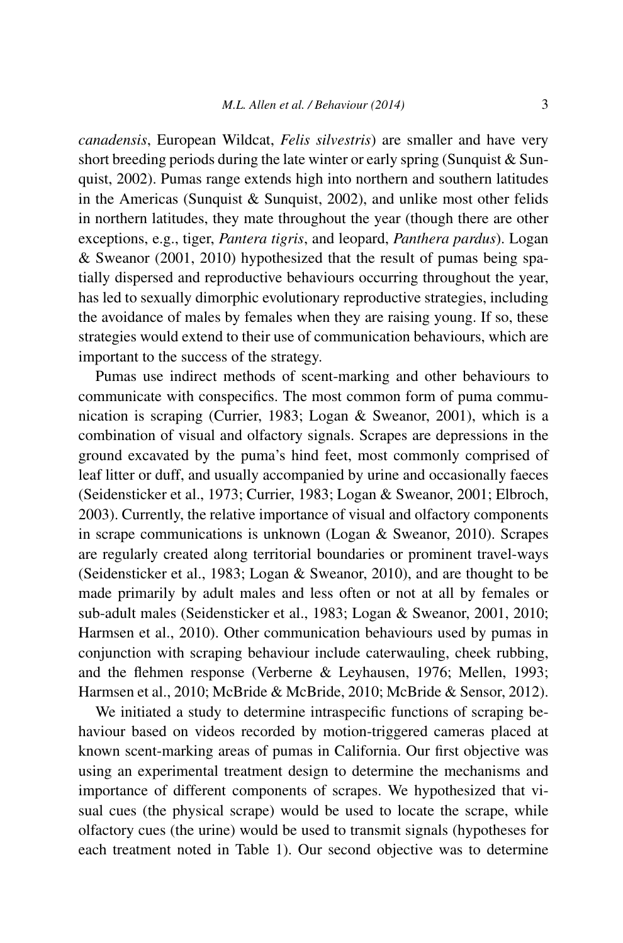*canadensis*, European Wildcat, *Felis silvestris*) are smaller and have very short breeding periods during the late winter or early spring (Sunquist & Sunquist, 2002). Pumas range extends high into northern and southern latitudes in the Americas (Sunquist  $&$  Sunquist, 2002), and unlike most other felids in northern latitudes, they mate throughout the year (though there are other exceptions, e.g., tiger, *Pantera tigris*, and leopard, *Panthera pardus*). Logan & Sweanor (2001, 2010) hypothesized that the result of pumas being spatially dispersed and reproductive behaviours occurring throughout the year, has led to sexually dimorphic evolutionary reproductive strategies, including the avoidance of males by females when they are raising young. If so, these strategies would extend to their use of communication behaviours, which are important to the success of the strategy.

Pumas use indirect methods of scent-marking and other behaviours to communicate with conspecifics. The most common form of puma communication is scraping (Currier, 1983; Logan & Sweanor, 2001), which is a combination of visual and olfactory signals. Scrapes are depressions in the ground excavated by the puma's hind feet, most commonly comprised of leaf litter or duff, and usually accompanied by urine and occasionally faeces (Seidensticker et al., 1973; Currier, 1983; Logan & Sweanor, 2001; Elbroch, 2003). Currently, the relative importance of visual and olfactory components in scrape communications is unknown (Logan & Sweanor, 2010). Scrapes are regularly created along territorial boundaries or prominent travel-ways (Seidensticker et al., 1983; Logan & Sweanor, 2010), and are thought to be made primarily by adult males and less often or not at all by females or sub-adult males (Seidensticker et al., 1983; Logan & Sweanor, 2001, 2010; Harmsen et al., 2010). Other communication behaviours used by pumas in conjunction with scraping behaviour include caterwauling, cheek rubbing, and the flehmen response (Verberne & Leyhausen, 1976; Mellen, 1993; Harmsen et al., 2010; McBride & McBride, 2010; McBride & Sensor, 2012).

We initiated a study to determine intraspecific functions of scraping behaviour based on videos recorded by motion-triggered cameras placed at known scent-marking areas of pumas in California. Our first objective was using an experimental treatment design to determine the mechanisms and importance of different components of scrapes. We hypothesized that visual cues (the physical scrape) would be used to locate the scrape, while olfactory cues (the urine) would be used to transmit signals (hypotheses for each treatment noted in Table 1). Our second objective was to determine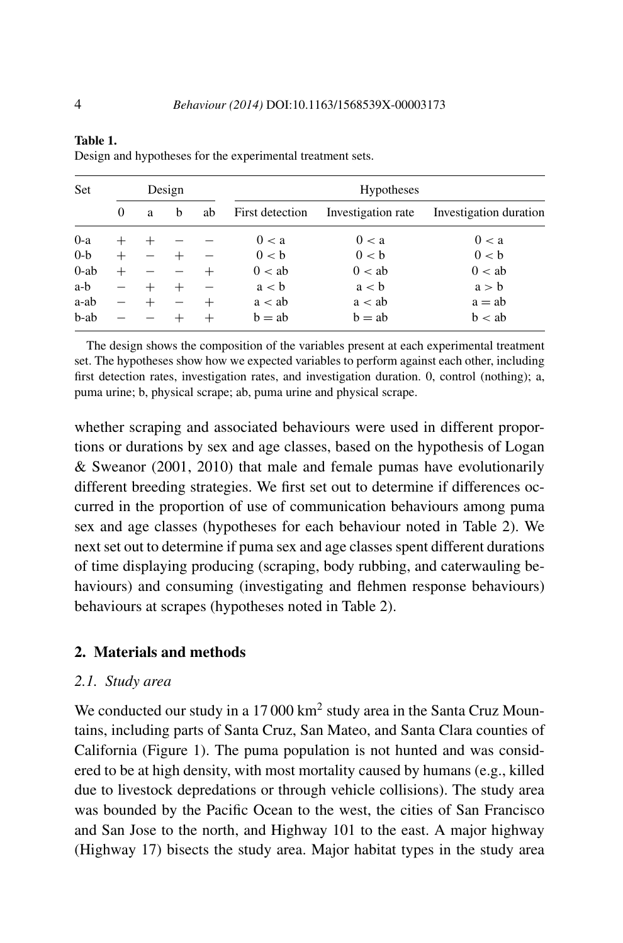| Set     | Design   |   |   |    | <b>Hypotheses</b> |                    |                        |  |  |
|---------|----------|---|---|----|-------------------|--------------------|------------------------|--|--|
|         | $\Omega$ | a | b | ab | First detection   | Investigation rate | Investigation duration |  |  |
| $0-a$   |          |   |   |    | 0 < a             | 0 < a              | 0 < a                  |  |  |
| $0-b$   | $^{+}$   |   |   |    | 0 < b             | 0 < b              | 0 < b                  |  |  |
| $0$ -ab |          |   |   |    | 0 < ab            | 0 < ab             | 0 < ab                 |  |  |
| a-b     |          |   |   |    | a < b             | a < b              | a > b                  |  |  |
| a-ab    |          |   |   |    | a < ab            | a < ab             | $a = ab$               |  |  |
| b-ab    |          |   |   |    | $b = ab$          | $b = ab$           | b < ab                 |  |  |

Design and hypotheses for the experimental treatment sets.

The design shows the composition of the variables present at each experimental treatment set. The hypotheses show how we expected variables to perform against each other, including first detection rates, investigation rates, and investigation duration. 0, control (nothing); a, puma urine; b, physical scrape; ab, puma urine and physical scrape.

whether scraping and associated behaviours were used in different proportions or durations by sex and age classes, based on the hypothesis of Logan & Sweanor (2001, 2010) that male and female pumas have evolutionarily different breeding strategies. We first set out to determine if differences occurred in the proportion of use of communication behaviours among puma sex and age classes (hypotheses for each behaviour noted in Table 2). We next set out to determine if puma sex and age classes spent different durations of time displaying producing (scraping, body rubbing, and caterwauling behaviours) and consuming (investigating and flehmen response behaviours) behaviours at scrapes (hypotheses noted in Table 2).

# **2. Materials and methods**

## *2.1. Study area*

We conducted our study in a 17 000 km<sup>2</sup> study area in the Santa Cruz Mountains, including parts of Santa Cruz, San Mateo, and Santa Clara counties of California (Figure 1). The puma population is not hunted and was considered to be at high density, with most mortality caused by humans (e.g., killed due to livestock depredations or through vehicle collisions). The study area was bounded by the Pacific Ocean to the west, the cities of San Francisco and San Jose to the north, and Highway 101 to the east. A major highway (Highway 17) bisects the study area. Major habitat types in the study area

**Table 1.**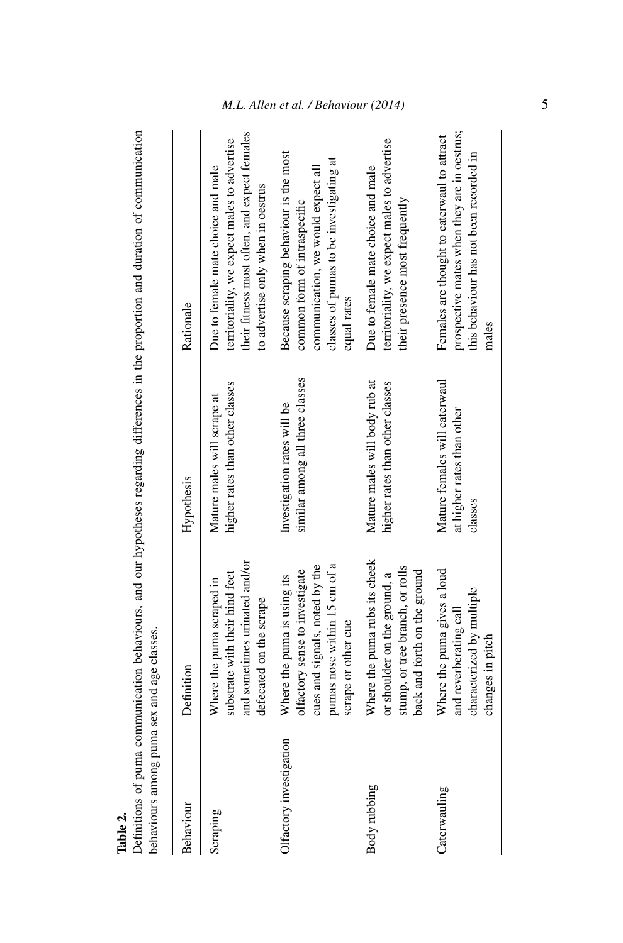| sension of the primary and the same was a sension of the sension of the sension of the sension of the sension of the sension of the sension of the sension of the sension of the sension of the sension of the sension of the |                                                                                                                                                        |                                                                        |                                                                                                                                                                         |
|-------------------------------------------------------------------------------------------------------------------------------------------------------------------------------------------------------------------------------|--------------------------------------------------------------------------------------------------------------------------------------------------------|------------------------------------------------------------------------|-------------------------------------------------------------------------------------------------------------------------------------------------------------------------|
| Behaviour                                                                                                                                                                                                                     | Definition                                                                                                                                             | Hypothesis                                                             | Rationale                                                                                                                                                               |
| Scraping                                                                                                                                                                                                                      | and sometimes urinated and/or<br>substrate with their hind feet<br>Where the puma scraped in<br>defecated on the scrape                                | higher rates than other classes<br>Mature males will scrape at         | their fitness most often, and expect females<br>territoriality, we expect males to advertise<br>Due to female mate choice and male<br>to advertise only when in oestrus |
| Olfactory investigation                                                                                                                                                                                                       | pumas nose within 15 cm of a<br>cues and signals, noted by the<br>olfactory sense to investigate<br>Where the puma is using its<br>scrape or other cue | similar among all three classes<br>Investigation rates will be         | Because scraping behaviour is the most<br>classes of pumas to be investigating at<br>communication, we would expect all<br>common form of intraspecific<br>equal rates  |
| Body rubbing                                                                                                                                                                                                                  | Where the puma rubs its cheek<br>stump, or tree branch, or rolls<br>back and forth on the ground<br>or shoulder on the ground, a                       | Mature males will body rub at<br>higher rates than other classes       | territoriality, we expect males to advertise<br>Due to female mate choice and male<br>their presence most frequently                                                    |
| Caterwauling                                                                                                                                                                                                                  | Where the puma gives a loud<br>characterized by multiple<br>and reverberating call<br>changes in pitch                                                 | Mature females will caterwaul<br>at higher rates than other<br>classes | prospective mates when they are in oestrus;<br>Females are thought to caterwaul to attract<br>this behaviour has not been recorded in<br>males                          |

Table 2.<br>Definitions of puma communication behaviours, and our hypotheses regarding differences in the proportion and duration of communication<br>behaviours among puma sex and age classes. Definitions of puma communication behaviours, and our hypotheses regarding differences in the proportion and duration of communication behaviours among puma sex and age classes.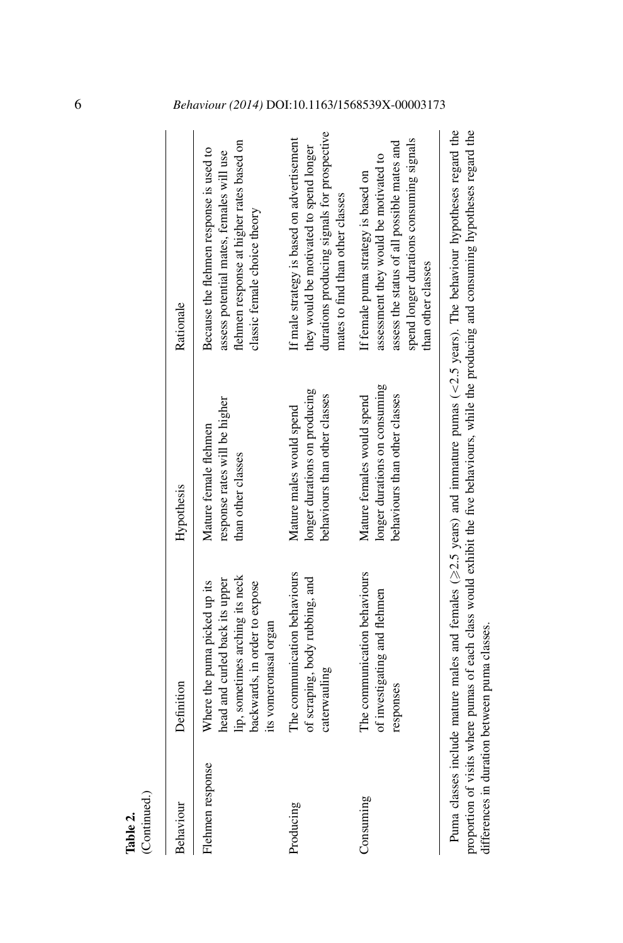| (Continued.)<br>Table 2. |                                                                                                                                                             |                                                                                              |                                                                                                                                                                                               |
|--------------------------|-------------------------------------------------------------------------------------------------------------------------------------------------------------|----------------------------------------------------------------------------------------------|-----------------------------------------------------------------------------------------------------------------------------------------------------------------------------------------------|
| Behaviour                | Definition                                                                                                                                                  | Hypothesis                                                                                   | Rationale                                                                                                                                                                                     |
| Flehmen response         | lip, sometimes arching its neck<br>head and curled back its upper<br>Where the puma picked up its<br>backwards, in order to expose<br>its vomeronasal organ | response rates will be higher<br>Mature female flehmen<br>than other classes                 | flehmen response at higher rates based on<br>Because the flehmen response is used to<br>assess potential mates, females will use<br>classic female choice theory                              |
| Producing                | The communication behaviours<br>of scraping, body rubbing, and<br>caterwauling                                                                              | longer durations on producing<br>behaviours than other classes<br>Mature males would spend   | durations producing signals for prospective<br>If male strategy is based on advertisement<br>they would be motivated to spend longer<br>mates to find than other classes                      |
| Consuming                | The communication behaviours<br>of investigating and flehmen<br>responses                                                                                   | longer durations on consuming<br>behaviours than other classes<br>Mature females would spend | spend longer durations consuming signals<br>assess the status of all possible mates and<br>assessment they would be motivated to<br>If female puma strategy is based on<br>than other classes |
|                          |                                                                                                                                                             |                                                                                              |                                                                                                                                                                                               |

Puma classes include mature males and females ( $\geq$ 2.5 years) and immature pumas ( $\lt$ 2.5 years). The behaviour hypotheses regard the proportion of visits where pumas of each class would exhibit the five behaviours, while the producing and consuming hypotheses regard the 2.5 years) and immature pumas (*<*2.5 years). The behaviour hypotheses regard the proportion of visits where pumas of each class would exhibit the five behaviours, while the producing and consuming hypotheses regard the Puma classes include mature males and females ( $\geq$ differences in duration between puma classes. differences in duration between puma classes.

# 6 *Behaviour (2014)* DOI:10.1163/1568539X-00003173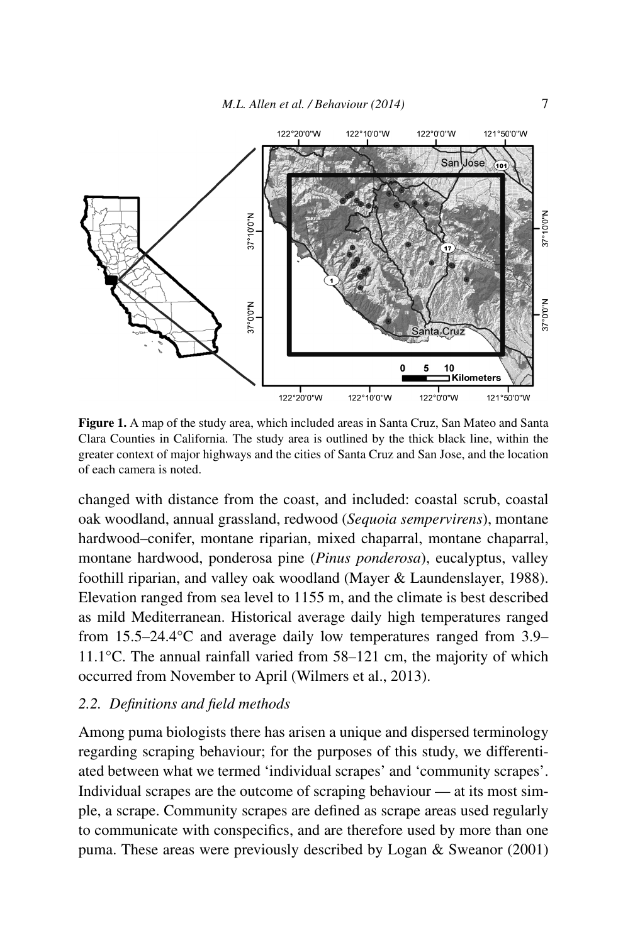

**Figure 1.** A map of the study area, which included areas in Santa Cruz, San Mateo and Santa Clara Counties in California. The study area is outlined by the thick black line, within the greater context of major highways and the cities of Santa Cruz and San Jose, and the location of each camera is noted.

changed with distance from the coast, and included: coastal scrub, coastal oak woodland, annual grassland, redwood (*Sequoia sempervirens*), montane hardwood–conifer, montane riparian, mixed chaparral, montane chaparral, montane hardwood, ponderosa pine (*Pinus ponderosa*), eucalyptus, valley foothill riparian, and valley oak woodland (Mayer & Laundenslayer, 1988). Elevation ranged from sea level to 1155 m, and the climate is best described as mild Mediterranean. Historical average daily high temperatures ranged from 15.5–24.4°C and average daily low temperatures ranged from 3.9– 11.1°C. The annual rainfall varied from 58–121 cm, the majority of which occurred from November to April (Wilmers et al., 2013).

## *2.2. Definitions and field methods*

Among puma biologists there has arisen a unique and dispersed terminology regarding scraping behaviour; for the purposes of this study, we differentiated between what we termed 'individual scrapes' and 'community scrapes'. Individual scrapes are the outcome of scraping behaviour — at its most simple, a scrape. Community scrapes are defined as scrape areas used regularly to communicate with conspecifics, and are therefore used by more than one puma. These areas were previously described by Logan & Sweanor (2001)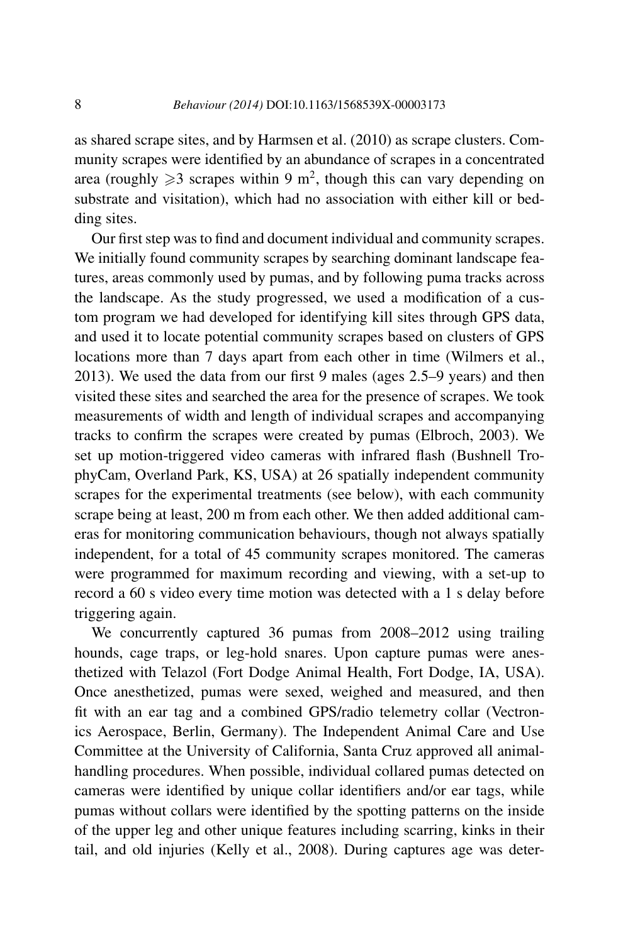as shared scrape sites, and by Harmsen et al. (2010) as scrape clusters. Community scrapes were identified by an abundance of scrapes in a concentrated area (roughly  $\geq 3$  scrapes within 9 m<sup>2</sup>, though this can vary depending on substrate and visitation), which had no association with either kill or bedding sites.

Our first step was to find and document individual and community scrapes. We initially found community scrapes by searching dominant landscape features, areas commonly used by pumas, and by following puma tracks across the landscape. As the study progressed, we used a modification of a custom program we had developed for identifying kill sites through GPS data, and used it to locate potential community scrapes based on clusters of GPS locations more than 7 days apart from each other in time (Wilmers et al., 2013). We used the data from our first 9 males (ages 2.5–9 years) and then visited these sites and searched the area for the presence of scrapes. We took measurements of width and length of individual scrapes and accompanying tracks to confirm the scrapes were created by pumas (Elbroch, 2003). We set up motion-triggered video cameras with infrared flash (Bushnell TrophyCam, Overland Park, KS, USA) at 26 spatially independent community scrapes for the experimental treatments (see below), with each community scrape being at least, 200 m from each other. We then added additional cameras for monitoring communication behaviours, though not always spatially independent, for a total of 45 community scrapes monitored. The cameras were programmed for maximum recording and viewing, with a set-up to record a 60 s video every time motion was detected with a 1 s delay before triggering again.

We concurrently captured 36 pumas from 2008–2012 using trailing hounds, cage traps, or leg-hold snares. Upon capture pumas were anesthetized with Telazol (Fort Dodge Animal Health, Fort Dodge, IA, USA). Once anesthetized, pumas were sexed, weighed and measured, and then fit with an ear tag and a combined GPS/radio telemetry collar (Vectronics Aerospace, Berlin, Germany). The Independent Animal Care and Use Committee at the University of California, Santa Cruz approved all animalhandling procedures. When possible, individual collared pumas detected on cameras were identified by unique collar identifiers and/or ear tags, while pumas without collars were identified by the spotting patterns on the inside of the upper leg and other unique features including scarring, kinks in their tail, and old injuries (Kelly et al., 2008). During captures age was deter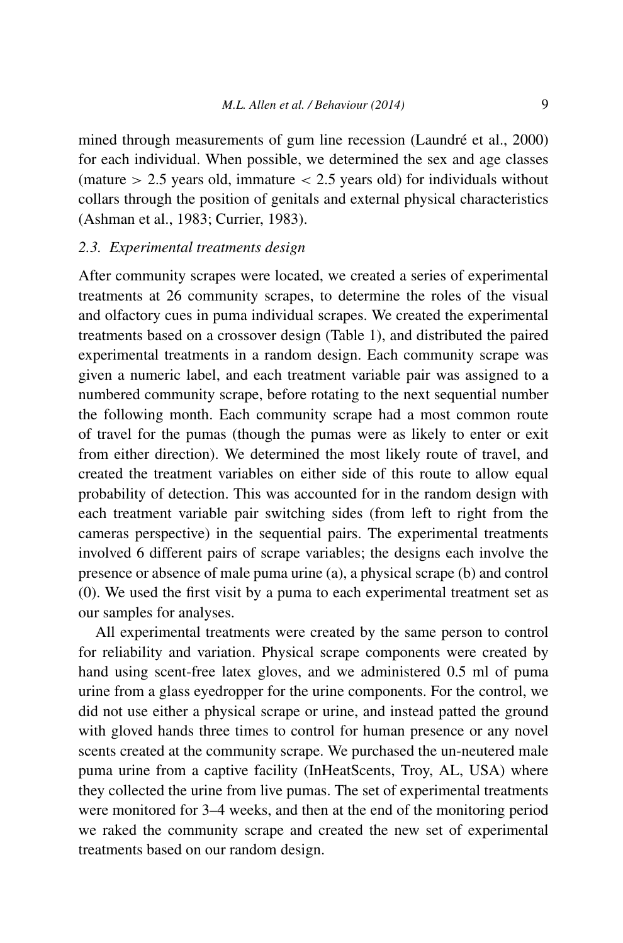mined through measurements of gum line recession (Laundré et al., 2000) for each individual. When possible, we determined the sex and age classes (mature *>* 2.5 years old, immature *<* 2.5 years old) for individuals without collars through the position of genitals and external physical characteristics (Ashman et al., 1983; Currier, 1983).

## *2.3. Experimental treatments design*

After community scrapes were located, we created a series of experimental treatments at 26 community scrapes, to determine the roles of the visual and olfactory cues in puma individual scrapes. We created the experimental treatments based on a crossover design (Table 1), and distributed the paired experimental treatments in a random design. Each community scrape was given a numeric label, and each treatment variable pair was assigned to a numbered community scrape, before rotating to the next sequential number the following month. Each community scrape had a most common route of travel for the pumas (though the pumas were as likely to enter or exit from either direction). We determined the most likely route of travel, and created the treatment variables on either side of this route to allow equal probability of detection. This was accounted for in the random design with each treatment variable pair switching sides (from left to right from the cameras perspective) in the sequential pairs. The experimental treatments involved 6 different pairs of scrape variables; the designs each involve the presence or absence of male puma urine (a), a physical scrape (b) and control (0). We used the first visit by a puma to each experimental treatment set as our samples for analyses.

All experimental treatments were created by the same person to control for reliability and variation. Physical scrape components were created by hand using scent-free latex gloves, and we administered 0.5 ml of puma urine from a glass eyedropper for the urine components. For the control, we did not use either a physical scrape or urine, and instead patted the ground with gloved hands three times to control for human presence or any novel scents created at the community scrape. We purchased the un-neutered male puma urine from a captive facility (InHeatScents, Troy, AL, USA) where they collected the urine from live pumas. The set of experimental treatments were monitored for 3–4 weeks, and then at the end of the monitoring period we raked the community scrape and created the new set of experimental treatments based on our random design.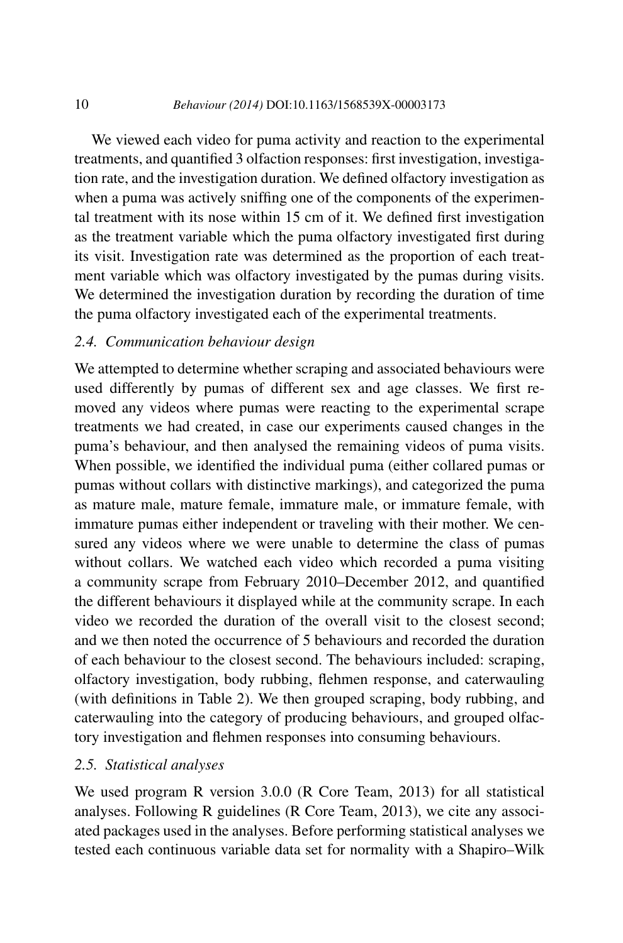#### 10 *Behaviour (2014)* DOI:10.1163/1568539X-00003173

We viewed each video for puma activity and reaction to the experimental treatments, and quantified 3 olfaction responses: first investigation, investigation rate, and the investigation duration. We defined olfactory investigation as when a puma was actively sniffing one of the components of the experimental treatment with its nose within 15 cm of it. We defined first investigation as the treatment variable which the puma olfactory investigated first during its visit. Investigation rate was determined as the proportion of each treatment variable which was olfactory investigated by the pumas during visits. We determined the investigation duration by recording the duration of time the puma olfactory investigated each of the experimental treatments.

## *2.4. Communication behaviour design*

We attempted to determine whether scraping and associated behaviours were used differently by pumas of different sex and age classes. We first removed any videos where pumas were reacting to the experimental scrape treatments we had created, in case our experiments caused changes in the puma's behaviour, and then analysed the remaining videos of puma visits. When possible, we identified the individual puma (either collared pumas or pumas without collars with distinctive markings), and categorized the puma as mature male, mature female, immature male, or immature female, with immature pumas either independent or traveling with their mother. We censured any videos where we were unable to determine the class of pumas without collars. We watched each video which recorded a puma visiting a community scrape from February 2010–December 2012, and quantified the different behaviours it displayed while at the community scrape. In each video we recorded the duration of the overall visit to the closest second; and we then noted the occurrence of 5 behaviours and recorded the duration of each behaviour to the closest second. The behaviours included: scraping, olfactory investigation, body rubbing, flehmen response, and caterwauling (with definitions in Table 2). We then grouped scraping, body rubbing, and caterwauling into the category of producing behaviours, and grouped olfactory investigation and flehmen responses into consuming behaviours.

# *2.5. Statistical analyses*

We used program R version 3.0.0 (R Core Team, 2013) for all statistical analyses. Following R guidelines (R Core Team, 2013), we cite any associated packages used in the analyses. Before performing statistical analyses we tested each continuous variable data set for normality with a Shapiro–Wilk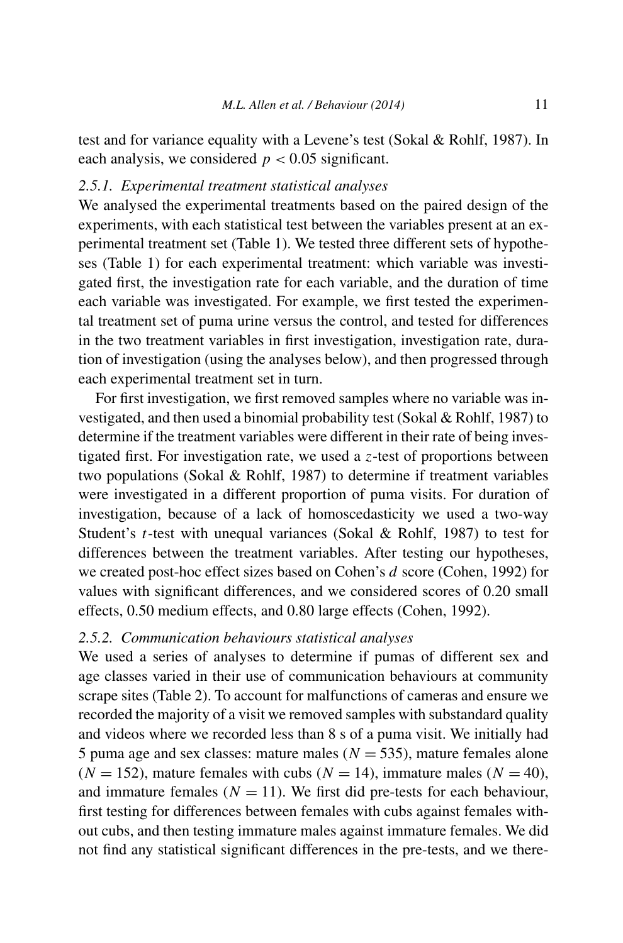test and for variance equality with a Levene's test (Sokal & Rohlf, 1987). In each analysis, we considered  $p < 0.05$  significant.

# *2.5.1. Experimental treatment statistical analyses*

We analysed the experimental treatments based on the paired design of the experiments, with each statistical test between the variables present at an experimental treatment set (Table 1). We tested three different sets of hypotheses (Table 1) for each experimental treatment: which variable was investigated first, the investigation rate for each variable, and the duration of time each variable was investigated. For example, we first tested the experimental treatment set of puma urine versus the control, and tested for differences in the two treatment variables in first investigation, investigation rate, duration of investigation (using the analyses below), and then progressed through each experimental treatment set in turn.

For first investigation, we first removed samples where no variable was investigated, and then used a binomial probability test (Sokal & Rohlf, 1987) to determine if the treatment variables were different in their rate of being investigated first. For investigation rate, we used a *z*-test of proportions between two populations (Sokal & Rohlf, 1987) to determine if treatment variables were investigated in a different proportion of puma visits. For duration of investigation, because of a lack of homoscedasticity we used a two-way Student's *t*-test with unequal variances (Sokal & Rohlf, 1987) to test for differences between the treatment variables. After testing our hypotheses, we created post-hoc effect sizes based on Cohen's *d* score (Cohen, 1992) for values with significant differences, and we considered scores of 0.20 small effects, 0.50 medium effects, and 0.80 large effects (Cohen, 1992).

# *2.5.2. Communication behaviours statistical analyses*

We used a series of analyses to determine if pumas of different sex and age classes varied in their use of communication behaviours at community scrape sites (Table 2). To account for malfunctions of cameras and ensure we recorded the majority of a visit we removed samples with substandard quality and videos where we recorded less than 8 s of a puma visit. We initially had 5 puma age and sex classes: mature males  $(N = 535)$ , mature females alone  $(N = 152)$ , mature females with cubs  $(N = 14)$ , immature males  $(N = 40)$ , and immature females  $(N = 11)$ . We first did pre-tests for each behaviour, first testing for differences between females with cubs against females without cubs, and then testing immature males against immature females. We did not find any statistical significant differences in the pre-tests, and we there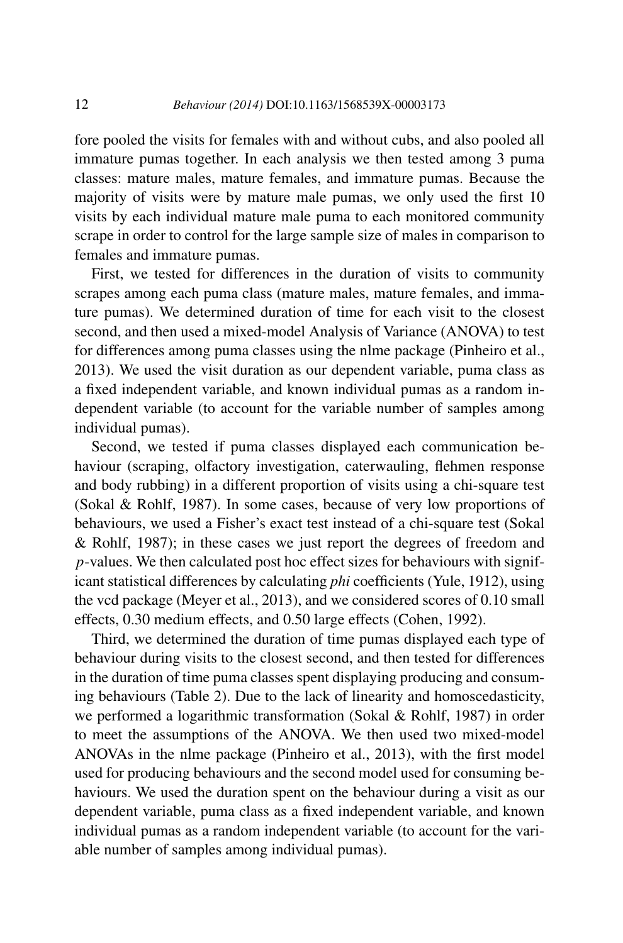fore pooled the visits for females with and without cubs, and also pooled all immature pumas together. In each analysis we then tested among 3 puma classes: mature males, mature females, and immature pumas. Because the majority of visits were by mature male pumas, we only used the first 10 visits by each individual mature male puma to each monitored community scrape in order to control for the large sample size of males in comparison to females and immature pumas.

First, we tested for differences in the duration of visits to community scrapes among each puma class (mature males, mature females, and immature pumas). We determined duration of time for each visit to the closest second, and then used a mixed-model Analysis of Variance (ANOVA) to test for differences among puma classes using the nlme package (Pinheiro et al., 2013). We used the visit duration as our dependent variable, puma class as a fixed independent variable, and known individual pumas as a random independent variable (to account for the variable number of samples among individual pumas).

Second, we tested if puma classes displayed each communication behaviour (scraping, olfactory investigation, caterwauling, flehmen response and body rubbing) in a different proportion of visits using a chi-square test (Sokal & Rohlf, 1987). In some cases, because of very low proportions of behaviours, we used a Fisher's exact test instead of a chi-square test (Sokal & Rohlf, 1987); in these cases we just report the degrees of freedom and *p*-values. We then calculated post hoc effect sizes for behaviours with significant statistical differences by calculating *phi* coefficients (Yule, 1912), using the vcd package (Meyer et al., 2013), and we considered scores of 0.10 small effects, 0.30 medium effects, and 0.50 large effects (Cohen, 1992).

Third, we determined the duration of time pumas displayed each type of behaviour during visits to the closest second, and then tested for differences in the duration of time puma classes spent displaying producing and consuming behaviours (Table 2). Due to the lack of linearity and homoscedasticity, we performed a logarithmic transformation (Sokal & Rohlf, 1987) in order to meet the assumptions of the ANOVA. We then used two mixed-model ANOVAs in the nlme package (Pinheiro et al., 2013), with the first model used for producing behaviours and the second model used for consuming behaviours. We used the duration spent on the behaviour during a visit as our dependent variable, puma class as a fixed independent variable, and known individual pumas as a random independent variable (to account for the variable number of samples among individual pumas).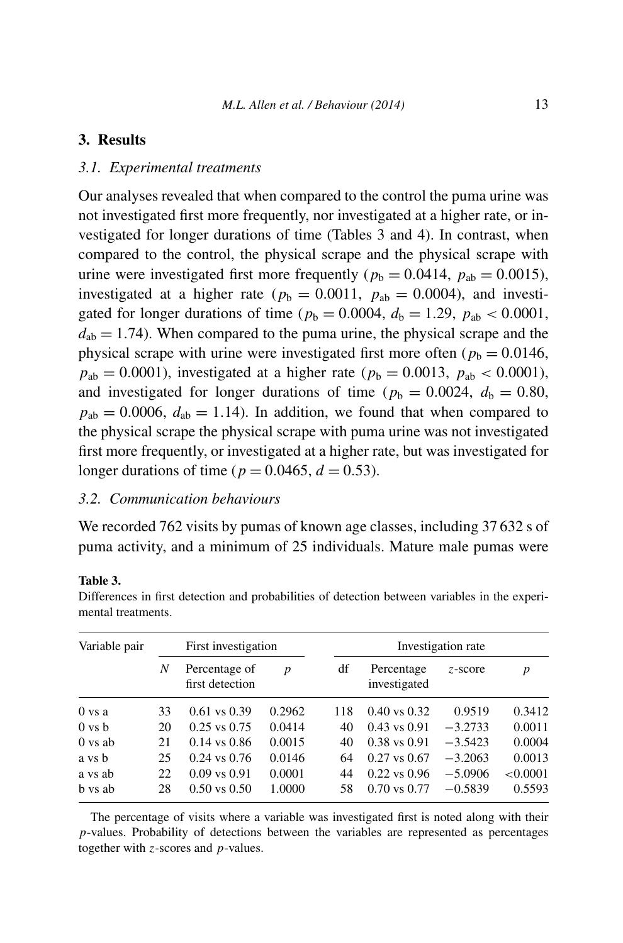# **3. Results**

#### *3.1. Experimental treatments*

Our analyses revealed that when compared to the control the puma urine was not investigated first more frequently, nor investigated at a higher rate, or investigated for longer durations of time (Tables 3 and 4). In contrast, when compared to the control, the physical scrape and the physical scrape with urine were investigated first more frequently ( $p<sub>b</sub> = 0.0414$ ,  $p<sub>ab</sub> = 0.0015$ ), investigated at a higher rate ( $p_b = 0.0011$ ,  $p_{ab} = 0.0004$ ), and investigated for longer durations of time ( $p_b = 0.0004$ ,  $d_b = 1.29$ ,  $p_{ab} < 0.0001$ ,  $d_{ab} = 1.74$ ). When compared to the puma urine, the physical scrape and the physical scrape with urine were investigated first more often ( $p<sub>b</sub> = 0.0146$ ,  $p_{ab} = 0.0001$ ), investigated at a higher rate ( $p_b = 0.0013$ ,  $p_{ab} < 0.0001$ ), and investigated for longer durations of time ( $p_b = 0.0024$ ,  $d_b = 0.80$ ,  $p_{ab} = 0.0006$ ,  $d_{ab} = 1.14$ ). In addition, we found that when compared to the physical scrape the physical scrape with puma urine was not investigated first more frequently, or investigated at a higher rate, but was investigated for longer durations of time ( $p = 0.0465$ ,  $d = 0.53$ ).

## *3.2. Communication behaviours*

We recorded 762 visits by pumas of known age classes, including 37 632 s of puma activity, and a minimum of 25 individuals. Mature male pumas were

#### **Table 3.**

| Differences in first detection and probabilities of detection between variables in the experi- |  |  |  |  |
|------------------------------------------------------------------------------------------------|--|--|--|--|
| mental treatments.                                                                             |  |  |  |  |
|                                                                                                |  |  |  |  |

| Variable pair      |    | First investigation              |        | Investigation rate |                            |           |          |  |
|--------------------|----|----------------------------------|--------|--------------------|----------------------------|-----------|----------|--|
|                    | N  | Percentage of<br>first detection | p      | df                 | Percentage<br>investigated | z-score   | p        |  |
| $0$ vs a           | 33 | $0.61$ vs $0.39$                 | 0.2962 | 118                | $0.40$ vs $0.32$           | 0.9519    | 0.3412   |  |
| $0 \text{ vs } b$  | 20 | $0.25$ vs $0.75$                 | 0.0414 | 40                 | $0.43$ vs $0.91$           | $-3.2733$ | 0.0011   |  |
| $0 \text{ vs } ab$ | 21 | $0.14$ vs $0.86$                 | 0.0015 | 40                 | $0.38$ vs $0.91$           | $-3.5423$ | 0.0004   |  |
| a vs b             | 25 | $0.24$ vs $0.76$                 | 0.0146 | 64                 | $0.27$ vs $0.67$           | $-3.2063$ | 0.0013   |  |
| a vs ab            | 22 | $0.09$ vs $0.91$                 | 0.0001 | 44                 | $0.22$ vs $0.96$           | $-5.0906$ | < 0.0001 |  |
| b vs ab            | 28 | $0.50$ vs $0.50$                 | 1.0000 | 58                 | $0.70$ vs $0.77$           | $-0.5839$ | 0.5593   |  |

The percentage of visits where a variable was investigated first is noted along with their *p*-values. Probability of detections between the variables are represented as percentages together with *z*-scores and *p*-values.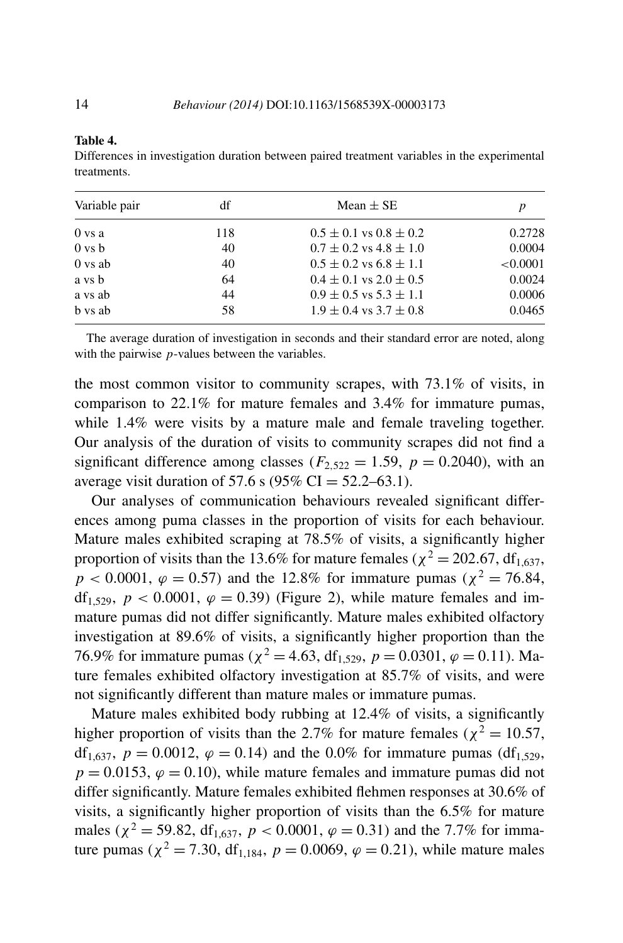#### **Table 4.**

Differences in investigation duration between paired treatment variables in the experimental treatments.

| Variable pair      | df  | Mean $\pm$ SE                  |          |
|--------------------|-----|--------------------------------|----------|
| 0 vs a             | 118 | $0.5 \pm 0.1$ vs $0.8 \pm 0.2$ | 0.2728   |
| $0 \text{ vs } b$  | 40  | $0.7 \pm 0.2$ vs $4.8 \pm 1.0$ | 0.0004   |
| $0 \text{ vs } ab$ | 40  | $0.5 \pm 0.2$ vs $6.8 \pm 1.1$ | < 0.0001 |
| a vs b             | 64  | $0.4 \pm 0.1$ vs $2.0 \pm 0.5$ | 0.0024   |
| a vs ab            | 44  | $0.9 \pm 0.5$ vs $5.3 \pm 1.1$ | 0.0006   |
| b vs ab            | 58  | $1.9 \pm 0.4$ vs $3.7 \pm 0.8$ | 0.0465   |

The average duration of investigation in seconds and their standard error are noted, along with the pairwise *p*-values between the variables.

the most common visitor to community scrapes, with 73.1% of visits, in comparison to 22.1% for mature females and 3.4% for immature pumas, while 1.4% were visits by a mature male and female traveling together. Our analysis of the duration of visits to community scrapes did not find a significant difference among classes ( $F_{2,522} = 1.59$ ,  $p = 0.2040$ ), with an average visit duration of 57.6 s (95% CI =  $52.2 - 63.1$ ).

Our analyses of communication behaviours revealed significant differences among puma classes in the proportion of visits for each behaviour. Mature males exhibited scraping at 78.5% of visits, a significantly higher proportion of visits than the 13.6% for mature females ( $\chi^2$  = 202*.*67, df<sub>1.637</sub>,  $p < 0.0001$ ,  $\varphi = 0.57$ ) and the 12.8% for immature pumas ( $\chi^2 = 76.84$ , df<sub>1,529</sub>,  $p < 0.0001$ ,  $\varphi = 0.39$ ) (Figure 2), while mature females and immature pumas did not differ significantly. Mature males exhibited olfactory investigation at 89.6% of visits, a significantly higher proportion than the 76.9% for immature pumas ( $\chi^2 = 4.63$ , df<sub>1.529</sub>,  $p = 0.0301$ ,  $\varphi = 0.11$ ). Mature females exhibited olfactory investigation at 85.7% of visits, and were not significantly different than mature males or immature pumas.

Mature males exhibited body rubbing at 12.4% of visits, a significantly higher proportion of visits than the 2.7% for mature females ( $\chi^2 = 10.57$ , df<sub>1,637</sub>,  $p = 0.0012$ ,  $\varphi = 0.14$ ) and the 0.0% for immature pumas (df<sub>1,529</sub>,  $p = 0.0153$ ,  $\varphi = 0.10$ , while mature females and immature pumas did not differ significantly. Mature females exhibited flehmen responses at 30.6% of visits, a significantly higher proportion of visits than the 6.5% for mature males ( $\chi^2$  = 59.82, df<sub>1.637</sub>,  $p < 0.0001$ ,  $\varphi = 0.31$ ) and the 7.7% for immature pumas ( $\chi^2 = 7.30$ , df<sub>1,184</sub>,  $p = 0.0069$ ,  $\varphi = 0.21$ ), while mature males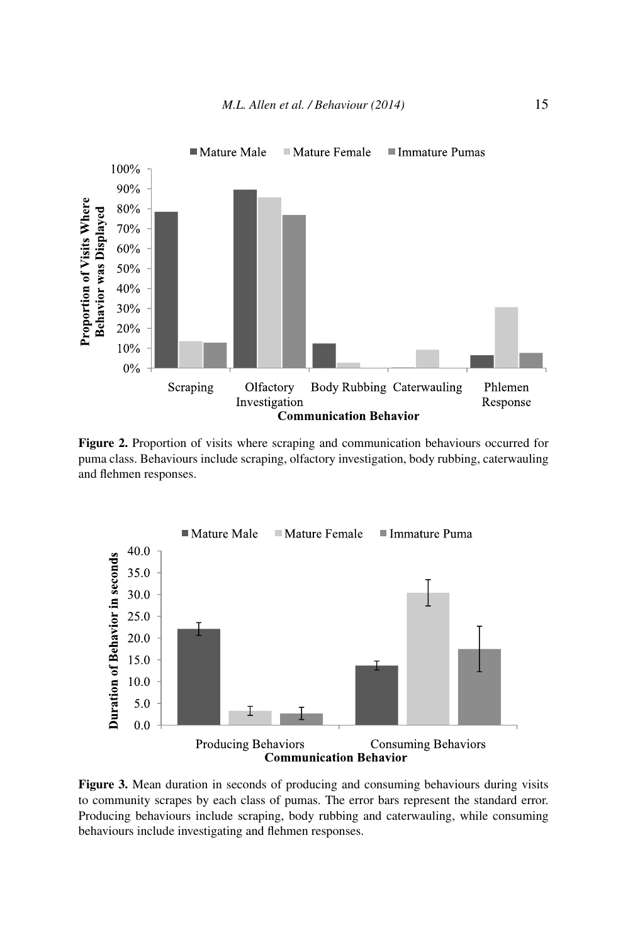

**Figure 2.** Proportion of visits where scraping and communication behaviours occurred for puma class. Behaviours include scraping, olfactory investigation, body rubbing, caterwauling and flehmen responses.



**Figure 3.** Mean duration in seconds of producing and consuming behaviours during visits to community scrapes by each class of pumas. The error bars represent the standard error. Producing behaviours include scraping, body rubbing and caterwauling, while consuming behaviours include investigating and flehmen responses.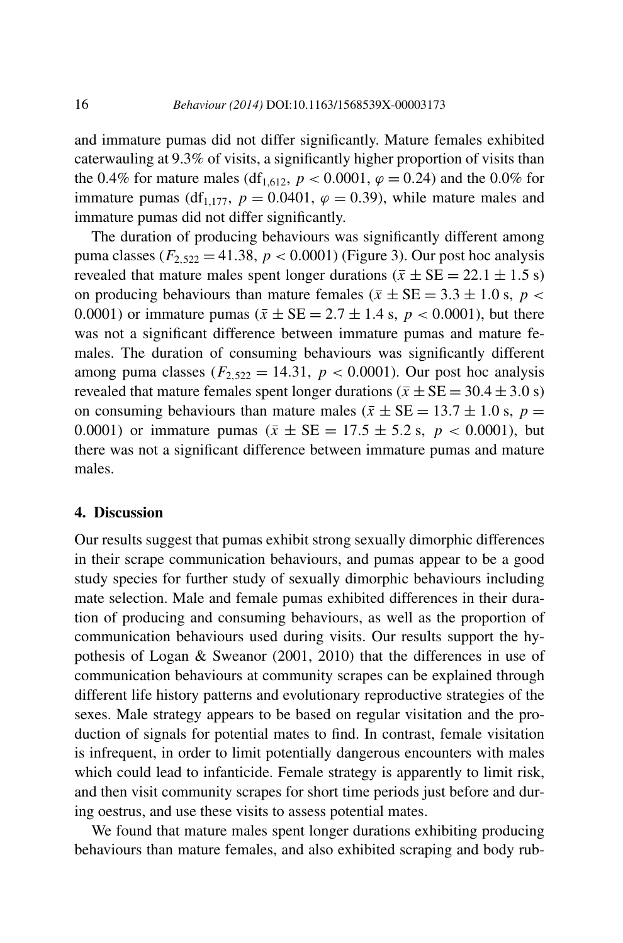and immature pumas did not differ significantly. Mature females exhibited caterwauling at 9.3% of visits, a significantly higher proportion of visits than the 0.4% for mature males (df<sub>1,612</sub>,  $p < 0.0001$ ,  $\varphi = 0.24$ ) and the 0.0% for immature pumas (df<sub>1,177</sub>,  $p = 0.0401$ ,  $\varphi = 0.39$ ), while mature males and immature pumas did not differ significantly.

The duration of producing behaviours was significantly different among puma classes ( $F_{2,522} = 41.38$ ,  $p < 0.0001$ ) (Figure 3). Our post hoc analysis revealed that mature males spent longer durations  $(\bar{x} \pm \text{SE} = 22.1 \pm 1.5 \text{ s})$ on producing behaviours than mature females ( $\bar{x} \pm SE = 3.3 \pm 1.0$  s,  $p <$ 0.0001) or immature pumas ( $\bar{x} \pm SE = 2.7 \pm 1.4$  s,  $p < 0.0001$ ), but there was not a significant difference between immature pumas and mature females. The duration of consuming behaviours was significantly different among puma classes ( $F_{2.522} = 14.31$ ,  $p < 0.0001$ ). Our post hoc analysis revealed that mature females spent longer durations ( $\bar{x} \pm SE = 30.4 \pm 3.0$  s) on consuming behaviours than mature males ( $\bar{x} \pm SE = 13.7 \pm 1.0$  s,  $p =$ 0.0001) or immature pumas ( $\bar{x} \pm SE = 17.5 \pm 5.2$  s,  $p < 0.0001$ ), but there was not a significant difference between immature pumas and mature males.

# **4. Discussion**

Our results suggest that pumas exhibit strong sexually dimorphic differences in their scrape communication behaviours, and pumas appear to be a good study species for further study of sexually dimorphic behaviours including mate selection. Male and female pumas exhibited differences in their duration of producing and consuming behaviours, as well as the proportion of communication behaviours used during visits. Our results support the hypothesis of Logan & Sweanor (2001, 2010) that the differences in use of communication behaviours at community scrapes can be explained through different life history patterns and evolutionary reproductive strategies of the sexes. Male strategy appears to be based on regular visitation and the production of signals for potential mates to find. In contrast, female visitation is infrequent, in order to limit potentially dangerous encounters with males which could lead to infanticide. Female strategy is apparently to limit risk, and then visit community scrapes for short time periods just before and during oestrus, and use these visits to assess potential mates.

We found that mature males spent longer durations exhibiting producing behaviours than mature females, and also exhibited scraping and body rub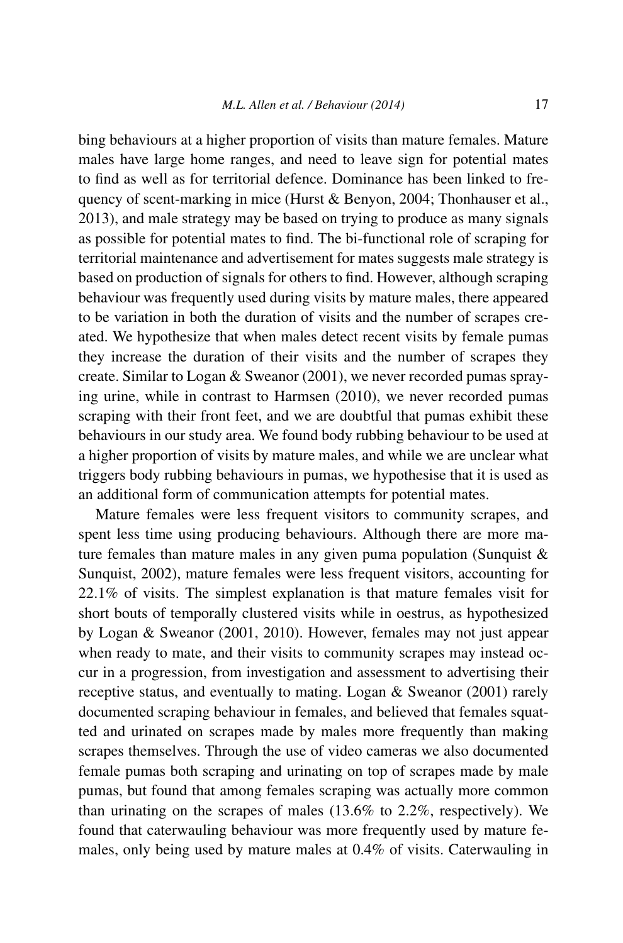bing behaviours at a higher proportion of visits than mature females. Mature males have large home ranges, and need to leave sign for potential mates to find as well as for territorial defence. Dominance has been linked to frequency of scent-marking in mice (Hurst & Benyon, 2004; Thonhauser et al., 2013), and male strategy may be based on trying to produce as many signals as possible for potential mates to find. The bi-functional role of scraping for territorial maintenance and advertisement for mates suggests male strategy is based on production of signals for others to find. However, although scraping behaviour was frequently used during visits by mature males, there appeared to be variation in both the duration of visits and the number of scrapes created. We hypothesize that when males detect recent visits by female pumas they increase the duration of their visits and the number of scrapes they create. Similar to Logan & Sweanor (2001), we never recorded pumas spraying urine, while in contrast to Harmsen (2010), we never recorded pumas scraping with their front feet, and we are doubtful that pumas exhibit these behaviours in our study area. We found body rubbing behaviour to be used at a higher proportion of visits by mature males, and while we are unclear what triggers body rubbing behaviours in pumas, we hypothesise that it is used as an additional form of communication attempts for potential mates.

Mature females were less frequent visitors to community scrapes, and spent less time using producing behaviours. Although there are more mature females than mature males in any given puma population (Sunquist  $\&$ Sunquist, 2002), mature females were less frequent visitors, accounting for 22.1% of visits. The simplest explanation is that mature females visit for short bouts of temporally clustered visits while in oestrus, as hypothesized by Logan & Sweanor (2001, 2010). However, females may not just appear when ready to mate, and their visits to community scrapes may instead occur in a progression, from investigation and assessment to advertising their receptive status, and eventually to mating. Logan & Sweanor (2001) rarely documented scraping behaviour in females, and believed that females squatted and urinated on scrapes made by males more frequently than making scrapes themselves. Through the use of video cameras we also documented female pumas both scraping and urinating on top of scrapes made by male pumas, but found that among females scraping was actually more common than urinating on the scrapes of males (13.6% to 2.2%, respectively). We found that caterwauling behaviour was more frequently used by mature females, only being used by mature males at 0.4% of visits. Caterwauling in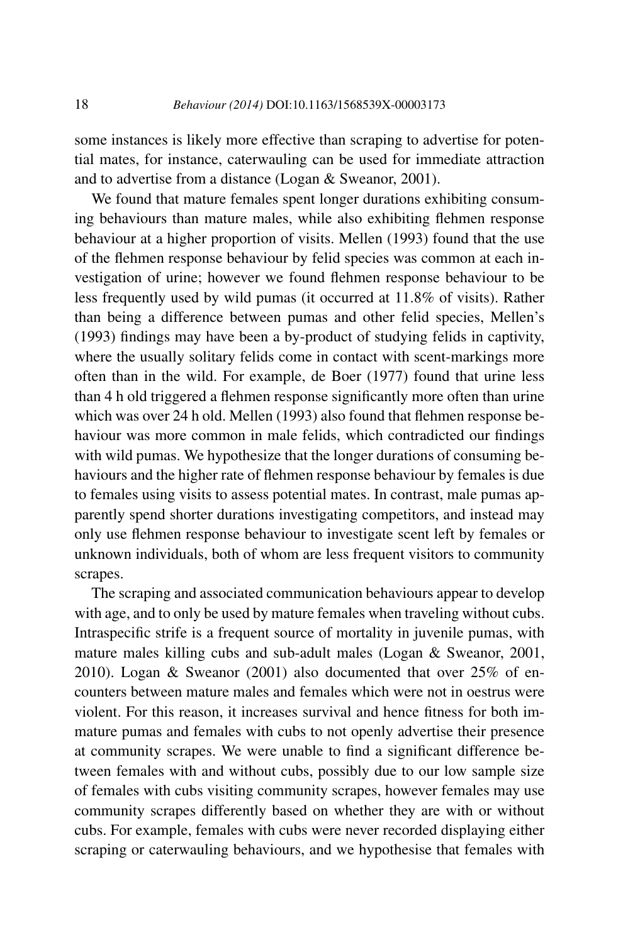some instances is likely more effective than scraping to advertise for potential mates, for instance, caterwauling can be used for immediate attraction and to advertise from a distance (Logan & Sweanor, 2001).

We found that mature females spent longer durations exhibiting consuming behaviours than mature males, while also exhibiting flehmen response behaviour at a higher proportion of visits. Mellen (1993) found that the use of the flehmen response behaviour by felid species was common at each investigation of urine; however we found flehmen response behaviour to be less frequently used by wild pumas (it occurred at 11.8% of visits). Rather than being a difference between pumas and other felid species, Mellen's (1993) findings may have been a by-product of studying felids in captivity, where the usually solitary felids come in contact with scent-markings more often than in the wild. For example, de Boer (1977) found that urine less than 4 h old triggered a flehmen response significantly more often than urine which was over 24 h old. Mellen (1993) also found that flehmen response behaviour was more common in male felids, which contradicted our findings with wild pumas. We hypothesize that the longer durations of consuming behaviours and the higher rate of flehmen response behaviour by females is due to females using visits to assess potential mates. In contrast, male pumas apparently spend shorter durations investigating competitors, and instead may only use flehmen response behaviour to investigate scent left by females or unknown individuals, both of whom are less frequent visitors to community scrapes.

The scraping and associated communication behaviours appear to develop with age, and to only be used by mature females when traveling without cubs. Intraspecific strife is a frequent source of mortality in juvenile pumas, with mature males killing cubs and sub-adult males (Logan & Sweanor, 2001, 2010). Logan & Sweanor (2001) also documented that over 25% of encounters between mature males and females which were not in oestrus were violent. For this reason, it increases survival and hence fitness for both immature pumas and females with cubs to not openly advertise their presence at community scrapes. We were unable to find a significant difference between females with and without cubs, possibly due to our low sample size of females with cubs visiting community scrapes, however females may use community scrapes differently based on whether they are with or without cubs. For example, females with cubs were never recorded displaying either scraping or caterwauling behaviours, and we hypothesise that females with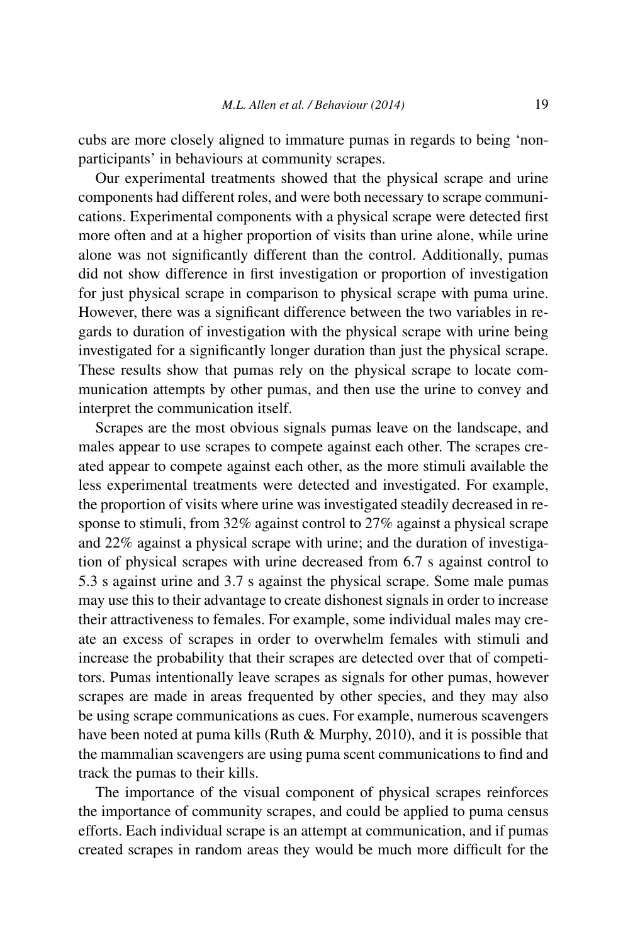cubs are more closely aligned to immature pumas in regards to being 'nonparticipants' in behaviours at community scrapes.

Our experimental treatments showed that the physical scrape and urine components had different roles, and were both necessary to scrape communications. Experimental components with a physical scrape were detected first more often and at a higher proportion of visits than urine alone, while urine alone was not significantly different than the control. Additionally, pumas did not show difference in first investigation or proportion of investigation for just physical scrape in comparison to physical scrape with puma urine. However, there was a significant difference between the two variables in regards to duration of investigation with the physical scrape with urine being investigated for a significantly longer duration than just the physical scrape. These results show that pumas rely on the physical scrape to locate communication attempts by other pumas, and then use the urine to convey and interpret the communication itself.

Scrapes are the most obvious signals pumas leave on the landscape, and males appear to use scrapes to compete against each other. The scrapes created appear to compete against each other, as the more stimuli available the less experimental treatments were detected and investigated. For example, the proportion of visits where urine was investigated steadily decreased in response to stimuli, from 32% against control to 27% against a physical scrape and 22% against a physical scrape with urine; and the duration of investigation of physical scrapes with urine decreased from 6.7 s against control to 5.3 s against urine and 3.7 s against the physical scrape. Some male pumas may use this to their advantage to create dishonest signals in order to increase their attractiveness to females. For example, some individual males may create an excess of scrapes in order to overwhelm females with stimuli and increase the probability that their scrapes are detected over that of competitors. Pumas intentionally leave scrapes as signals for other pumas, however scrapes are made in areas frequented by other species, and they may also be using scrape communications as cues. For example, numerous scavengers have been noted at puma kills (Ruth & Murphy, 2010), and it is possible that the mammalian scavengers are using puma scent communications to find and track the pumas to their kills.

The importance of the visual component of physical scrapes reinforces the importance of community scrapes, and could be applied to puma census efforts. Each individual scrape is an attempt at communication, and if pumas created scrapes in random areas they would be much more difficult for the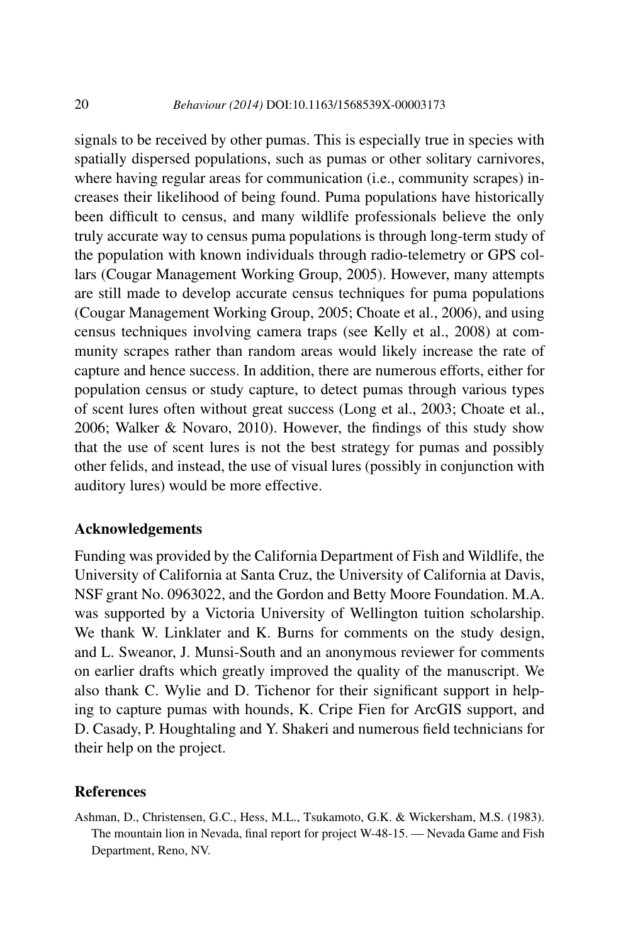signals to be received by other pumas. This is especially true in species with spatially dispersed populations, such as pumas or other solitary carnivores, where having regular areas for communication (i.e., community scrapes) increases their likelihood of being found. Puma populations have historically been difficult to census, and many wildlife professionals believe the only truly accurate way to census puma populations is through long-term study of the population with known individuals through radio-telemetry or GPS collars (Cougar Management Working Group, 2005). However, many attempts are still made to develop accurate census techniques for puma populations (Cougar Management Working Group, 2005; Choate et al., 2006), and using census techniques involving camera traps (see Kelly et al., 2008) at community scrapes rather than random areas would likely increase the rate of capture and hence success. In addition, there are numerous efforts, either for population census or study capture, to detect pumas through various types of scent lures often without great success (Long et al., 2003; Choate et al., 2006; Walker & Novaro, 2010). However, the findings of this study show that the use of scent lures is not the best strategy for pumas and possibly other felids, and instead, the use of visual lures (possibly in conjunction with auditory lures) would be more effective.

## **Acknowledgements**

Funding was provided by the California Department of Fish and Wildlife, the University of California at Santa Cruz, the University of California at Davis, NSF grant No. 0963022, and the Gordon and Betty Moore Foundation. M.A. was supported by a Victoria University of Wellington tuition scholarship. We thank W. Linklater and K. Burns for comments on the study design, and L. Sweanor, J. Munsi-South and an anonymous reviewer for comments on earlier drafts which greatly improved the quality of the manuscript. We also thank C. Wylie and D. Tichenor for their significant support in helping to capture pumas with hounds, K. Cripe Fien for ArcGIS support, and D. Casady, P. Houghtaling and Y. Shakeri and numerous field technicians for their help on the project.

#### **References**

Ashman, D., Christensen, G.C., Hess, M.L., Tsukamoto, G.K. & Wickersham, M.S. (1983). The mountain lion in Nevada, final report for project W-48-15. — Nevada Game and Fish Department, Reno, NV.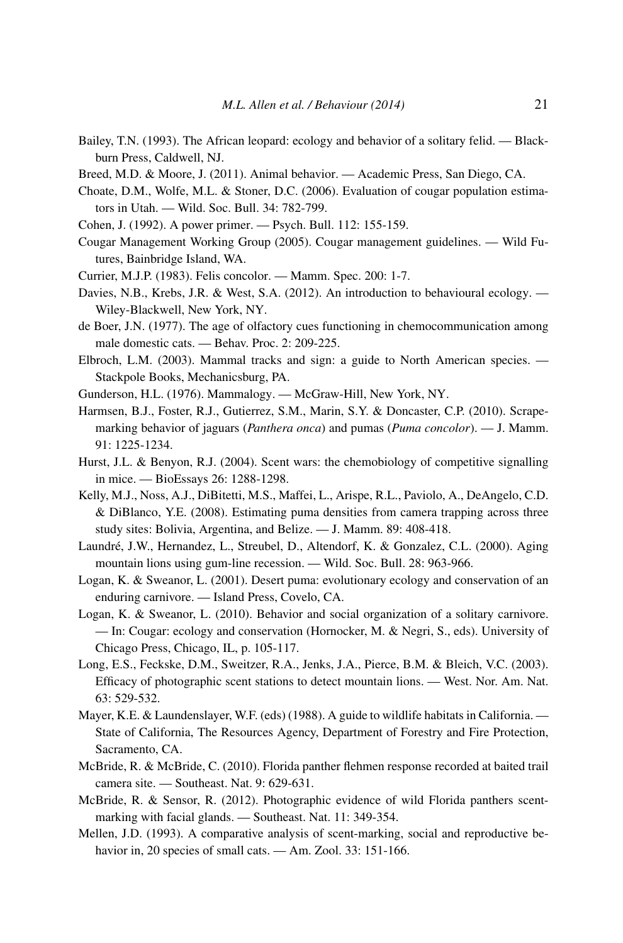- Bailey, T.N. (1993). The African leopard: ecology and behavior of a solitary felid. Blackburn Press, Caldwell, NJ.
- Breed, M.D. & Moore, J. (2011). Animal behavior. Academic Press, San Diego, CA.
- Choate, D.M., Wolfe, M.L. & Stoner, D.C. (2006). Evaluation of cougar population estimators in Utah. — Wild. Soc. Bull. 34: 782-799.
- Cohen, J. (1992). A power primer. Psych. Bull. 112: 155-159.
- Cougar Management Working Group (2005). Cougar management guidelines. Wild Futures, Bainbridge Island, WA.
- Currier, M.J.P. (1983). Felis concolor. Mamm. Spec. 200: 1-7.
- Davies, N.B., Krebs, J.R. & West, S.A. (2012). An introduction to behavioural ecology. Wiley-Blackwell, New York, NY.
- de Boer, J.N. (1977). The age of olfactory cues functioning in chemocommunication among male domestic cats. — Behav. Proc. 2: 209-225.
- Elbroch, L.M. (2003). Mammal tracks and sign: a guide to North American species. Stackpole Books, Mechanicsburg, PA.
- Gunderson, H.L. (1976). Mammalogy. McGraw-Hill, New York, NY.
- Harmsen, B.J., Foster, R.J., Gutierrez, S.M., Marin, S.Y. & Doncaster, C.P. (2010). Scrapemarking behavior of jaguars (*Panthera onca*) and pumas (*Puma concolor*). — J. Mamm. 91: 1225-1234.
- Hurst, J.L. & Benyon, R.J. (2004). Scent wars: the chemobiology of competitive signalling in mice. — BioEssays 26: 1288-1298.
- Kelly, M.J., Noss, A.J., DiBitetti, M.S., Maffei, L., Arispe, R.L., Paviolo, A., DeAngelo, C.D. & DiBlanco, Y.E. (2008). Estimating puma densities from camera trapping across three study sites: Bolivia, Argentina, and Belize. — J. Mamm. 89: 408-418.
- Laundré, J.W., Hernandez, L., Streubel, D., Altendorf, K. & Gonzalez, C.L. (2000). Aging mountain lions using gum-line recession. — Wild. Soc. Bull. 28: 963-966.
- Logan, K. & Sweanor, L. (2001). Desert puma: evolutionary ecology and conservation of an enduring carnivore. — Island Press, Covelo, CA.
- Logan, K. & Sweanor, L. (2010). Behavior and social organization of a solitary carnivore. — In: Cougar: ecology and conservation (Hornocker, M. & Negri, S., eds). University of Chicago Press, Chicago, IL, p. 105-117.
- Long, E.S., Feckske, D.M., Sweitzer, R.A., Jenks, J.A., Pierce, B.M. & Bleich, V.C. (2003). Efficacy of photographic scent stations to detect mountain lions. — West. Nor. Am. Nat. 63: 529-532.
- Mayer, K.E. & Laundenslayer, W.F. (eds) (1988). A guide to wildlife habitats in California. State of California, The Resources Agency, Department of Forestry and Fire Protection, Sacramento, CA.
- McBride, R. & McBride, C. (2010). Florida panther flehmen response recorded at baited trail camera site. — Southeast. Nat. 9: 629-631.
- McBride, R. & Sensor, R. (2012). Photographic evidence of wild Florida panthers scentmarking with facial glands. — Southeast. Nat. 11: 349-354.
- Mellen, J.D. (1993). A comparative analysis of scent-marking, social and reproductive behavior in, 20 species of small cats. — Am. Zool. 33: 151-166.